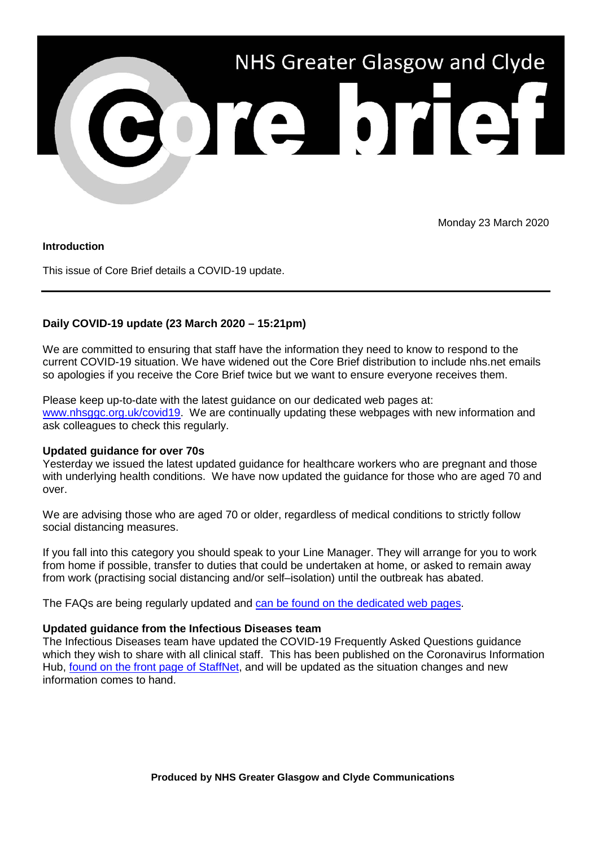

Monday 23 March 2020

### **Introduction**

This issue of Core Brief details a COVID-19 update.

# **Daily COVID-19 update (23 March 2020 – 15:21pm)**

We are committed to ensuring that staff have the information they need to know to respond to the current COVID-19 situation. We have widened out the Core Brief distribution to include nhs.net emails so apologies if you receive the Core Brief twice but we want to ensure everyone receives them.

Please keep up-to-date with the latest guidance on our dedicated web pages at: [www.nhsggc.org.uk/covid19.](http://www.nhsggc.org.uk/covid19) We are continually updating these webpages with new information and ask colleagues to check this regularly.

### **Updated guidance for over 70s**

Yesterday we issued the latest updated guidance for healthcare workers who are pregnant and those with underlying health conditions. We have now updated the guidance for those who are aged 70 and over.

We are advising those who are aged 70 or older, regardless of medical conditions to strictly follow social distancing measures.

If you fall into this category you should speak to your Line Manager. They will arrange for you to work from home if possible, transfer to duties that could be undertaken at home, or asked to remain away from work (practising social distancing and/or self–isolation) until the outbreak has abated.

The FAQs are being regularly updated and [can be found on the dedicated web pages.](https://www.nhsggc.org.uk/your-health/health-issues/covid-19-coronavirus/for-nhsggc-staff/faqs/)

### **Updated guidance from the Infectious Diseases team**

The Infectious Diseases team have updated the COVID-19 Frequently Asked Questions guidance which they wish to share with all clinical staff. This has been published on the Coronavirus Information Hub, [found on the front page of StaffNet,](http://www.staffnet.ggc.scot.nhs.uk/Corporate%20Services/Communications/Hot%20Topics/Pages/comms_CoronavirusInformationHub_mb110220.aspx) and will be updated as the situation changes and new information comes to hand.